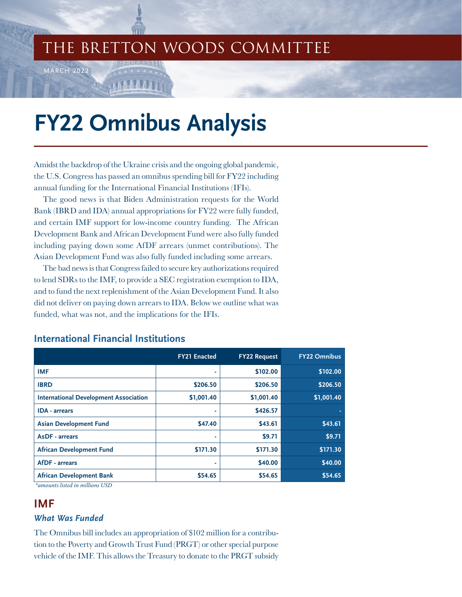# THE BRETTON WOODS COMMITTEE

# **FY22 Omnibus Analysis**

Amidst the backdrop of the Ukraine crisis and the ongoing global pandemic, the U.S. Congress has passed an omnibus spending bill for FY22 including annual funding for the International Financial Institutions (IFIs).

The good news is that Biden Administration requests for the World Bank (IBRD and IDA) annual appropriations for FY22 were fully funded, and certain IMF support for low-income country funding. The African Development Bank and African Development Fund were also fully funded including paying down some AfDF arrears (unmet contributions). The Asian Development Fund was also fully funded including some arrears.

The bad news is that Congress failed to secure key authorizations required to lend SDRs to the IMF, to provide a SEC registration exemption to IDA, and to fund the next replenishment of the Asian Development Fund. It also did not deliver on paying down arrears to IDA. Below we outline what was funded, what was not, and the implications for the IFIs.

|                                                                                                                                                                                                                                                                                                                                                                                 | <b>FY21 Enacted</b> | <b>FY22 Request</b> | <b>FY22 Omnibus</b> |
|---------------------------------------------------------------------------------------------------------------------------------------------------------------------------------------------------------------------------------------------------------------------------------------------------------------------------------------------------------------------------------|---------------------|---------------------|---------------------|
| <b>IMF</b>                                                                                                                                                                                                                                                                                                                                                                      |                     | \$102.00            | \$102.00            |
| <b>IBRD</b>                                                                                                                                                                                                                                                                                                                                                                     | \$206.50            | \$206.50            | \$206.50            |
| <b>International Development Association</b>                                                                                                                                                                                                                                                                                                                                    | \$1,001.40          | \$1,001.40          | \$1,001.40          |
| <b>IDA</b> - arrears                                                                                                                                                                                                                                                                                                                                                            |                     | \$426.57            |                     |
| <b>Asian Development Fund</b>                                                                                                                                                                                                                                                                                                                                                   | \$47.40             | \$43.61             | \$43.61             |
| <b>AsDF</b> - arrears                                                                                                                                                                                                                                                                                                                                                           |                     | \$9.71              | \$9.71              |
| <b>African Development Fund</b>                                                                                                                                                                                                                                                                                                                                                 | \$171.30            | \$171.30            | \$171.30            |
| <b>AfDF</b> - arrears                                                                                                                                                                                                                                                                                                                                                           | ۰                   | \$40.00             | \$40.00             |
| <b>African Development Bank</b><br>$\cdots$ $\cdots$ $\cdots$ $\cdots$ $\cdots$ $\cdots$ $\cdots$ $\cdots$ $\cdots$ $\cdots$ $\cdots$ $\cdots$ $\cdots$ $\cdots$ $\cdots$ $\cdots$ $\cdots$ $\cdots$ $\cdots$ $\cdots$ $\cdots$ $\cdots$ $\cdots$ $\cdots$ $\cdots$ $\cdots$ $\cdots$ $\cdots$ $\cdots$ $\cdots$ $\cdots$ $\cdots$ $\cdots$ $\cdots$ $\cdots$ $\cdots$ $\cdots$ | \$54.65             | \$54.65             | \$54.65             |

# **International Financial Institutions**

*\*amounts listed in millions USD*

MARCH 2022

# **IMF**

#### *What Was Funded*

The Omnibus bill includes an appropriation of \$102 million for a contribution to the Poverty and Growth Trust Fund (PRGT) or other special purpose vehicle of the IMF. This allows the Treasury to donate to the PRGT subsidy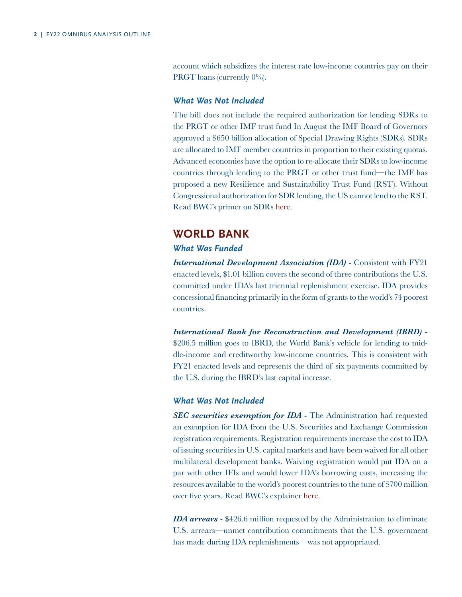account which subsidizes the interest rate low-income countries pay on their PRGT loans (currently  $0\%$ ).

#### *What Was Not Included*

The bill does not include the required authorization for lending SDRs to the PRGT or other IMF trust fund In August the IMF Board of Governors approved a \$650 billion allocation of Special Drawing Rights (SDRs). SDRs are allocated to IMF member countries in proportion to their existing quotas. Advanced economies have the option to re-allocate their SDRs to low-income countries through lending to the PRGT or other trust fund—the IMF has proposed a new Resilience and Sustainability Trust Fund (RST). Without Congressional authorization for SDR lending, the US cannot lend to the RST. [Read BWC's primer on SDRs here.](https://www.brettonwoods.org/sites/default/files/documents/SDR_A_Primer-Website.pdf)

# **WORLD BANK**

#### *What Was Funded*

*International Development Association (IDA) - Consistent with FY21* enacted levels, \$1.01 billion covers the second of three contributions the U.S. committed under IDA's last triennial replenishment exercise. IDA provides concessional financing primarily in the form of grants to the world's 74 poorest countries.

*International Bank for Reconstruction and Development (IBRD) -*  \$206.5 million goes to IBRD, the World Bank's vehicle for lending to middle-income and creditworthy low-income countries. This is consistent with FY21 enacted levels and represents the third of six payments committed by the U.S. during the IBRD's last capital increase.

#### *What Was Not Included*

*SEC securities exemption for IDA -* The Administration had requested an exemption for IDA from the U.S. Securities and Exchange Commission registration requirements. Registration requirements increase the cost to IDA of issuing securities in U.S. capital markets and have been waived for all other multilateral development banks. Waiving registration would put IDA on a par with other IFIs and would lower IDA's borrowing costs, increasing the resources available to the world's poorest countries to the tune of \$700 million over five years. [Read BWC's explainer](https://www.brettonwoods.org/article/explainer-securities-registration-exemption-for-ida) here.

*IDA arrears -* \$426.6 million requested by the Administration to eliminate U.S. arrears—unmet contribution commitments that the U.S. government has made during IDA replenishments—was not appropriated.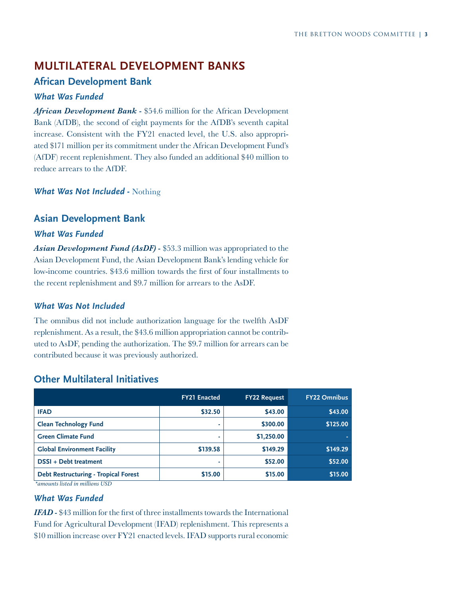# **MULTILATERAL DEVELOPMENT BANKS**

# **African Development Bank**

#### *What Was Funded*

*African Development Bank -* \$54.6 million for the African Development Bank (AfDB), the second of eight payments for the AfDB's seventh capital increase. Consistent with the FY21 enacted level, the U.S. also appropriated \$171 million per its commitment under the African Development Fund's (AfDF) recent replenishment. They also funded an additional \$40 million to reduce arrears to the AfDF.

*What Was Not Included -* Nothing

# **Asian Development Bank**

#### *What Was Funded*

*Asian Development Fund (AsDF) -* \$53.3 million was appropriated to the Asian Development Fund, the Asian Development Bank's lending vehicle for low-income countries. \$43.6 million towards the first of four installments to the recent replenishment and \$9.7 million for arrears to the AsDF.

#### *What Was Not Included*

The omnibus did not include authorization language for the twelfth AsDF replenishment. As a result, the \$43.6 million appropriation cannot be contributed to AsDF, pending the authorization. The \$9.7 million for arrears can be contributed because it was previously authorized.

|                                             | <b>FY21 Enacted</b> | <b>FY22 Request</b> | <b>FY22 Omnibus</b> |
|---------------------------------------------|---------------------|---------------------|---------------------|
| <b>IFAD</b>                                 | \$32.50             | \$43.00             | \$43.00             |
| <b>Clean Technology Fund</b>                |                     | \$300.00            | \$125.00            |
| <b>Green Climate Fund</b>                   |                     | \$1,250.00          |                     |
| <b>Global Environment Facility</b>          | \$139.58            | \$149.29            | \$149.29            |
| DSSI + Debt treatment                       |                     | \$52.00             | \$52.00             |
| <b>Debt Restructuring - Tropical Forest</b> | \$15.00             | \$15.00             | \$15.00             |
| *amounts listed in millions USD             |                     |                     |                     |

#### **Other Multilateral Initiatives**

# *What Was Funded*

*IFAD -* \$43 million for the first of three installments towards the International Fund for Agricultural Development (IFAD) replenishment. This represents a \$10 million increase over FY21 enacted levels. IFAD supports rural economic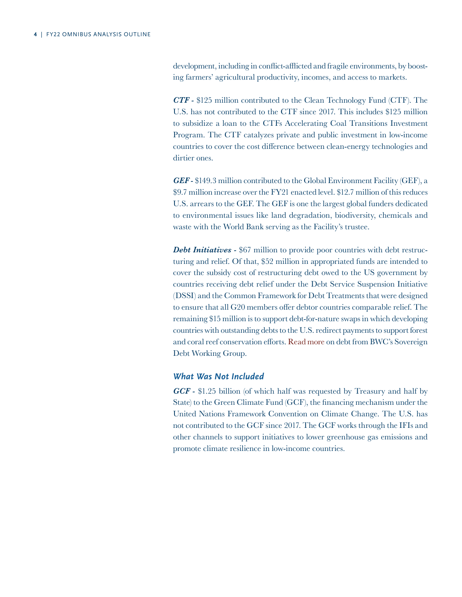development, including in conflict-afflicted and fragile environments, by boosting farmers' agricultural productivity, incomes, and access to markets.

*CTF -* \$125 million contributed to the Clean Technology Fund (CTF). The U.S. has not contributed to the CTF since 2017. This includes \$125 million to subsidize a loan to the CTFs Accelerating Coal Transitions Investment Program. The CTF catalyzes private and public investment in low-income countries to cover the cost difference between clean-energy technologies and dirtier ones.

*GEF -* \$149.3 million contributed to the Global Environment Facility (GEF), a \$9.7 million increase over the FY21 enacted level. \$12.7 million of this reduces U.S. arrears to the GEF. The GEF is one the largest global funders dedicated to environmental issues like land degradation, biodiversity, chemicals and waste with the World Bank serving as the Facility's trustee.

**Debt Initiatives -** \$67 million to provide poor countries with debt restructuring and relief. Of that, \$52 million in appropriated funds are intended to cover the subsidy cost of restructuring debt owed to the US government by countries receiving debt relief under the Debt Service Suspension Initiative (DSSI) and the Common Framework for Debt Treatments that were designed to ensure that all G20 members offer debtor countries comparable relief. The remaining \$15 million is to support debt-for-nature swaps in which developing countries with outstanding debts to the U.S. redirect payments to support forest and coral reef conservation efforts. [Read more on debt from BWC's Sovereign](https://www.brettonwoods.org/page/sovereign-debt-working-group) [Debt Working Group.](https://www.brettonwoods.org/page/sovereign-debt-working-group)

#### *What Was Not Included*

*GCF -* \$1.25 billion (of which half was requested by Treasury and half by State) to the Green Climate Fund (GCF), the financing mechanism under the United Nations Framework Convention on Climate Change. The U.S. has not contributed to the GCF since 2017. The GCF works through the IFIs and other channels to support initiatives to lower greenhouse gas emissions and promote climate resilience in low-income countries.